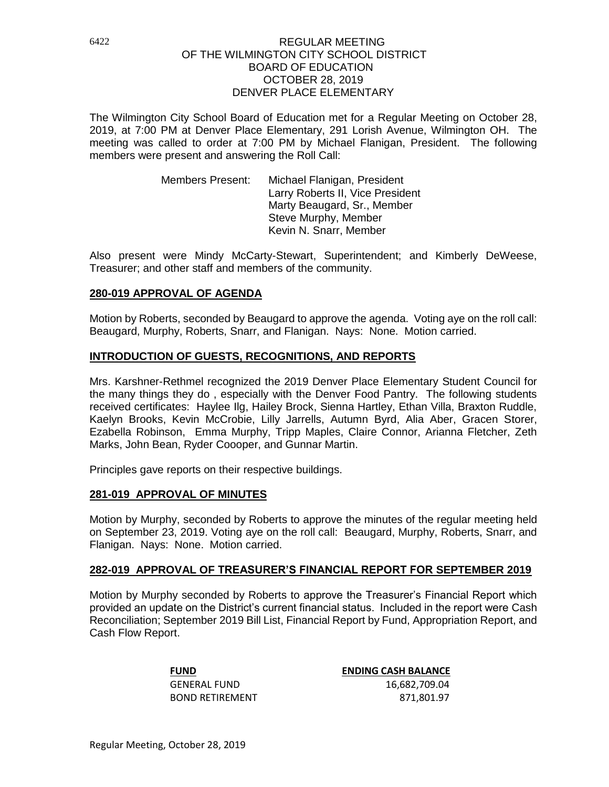The Wilmington City School Board of Education met for a Regular Meeting on October 28, 2019, at 7:00 PM at Denver Place Elementary, 291 Lorish Avenue, Wilmington OH. The meeting was called to order at 7:00 PM by Michael Flanigan, President. The following members were present and answering the Roll Call:

> Members Present: Michael Flanigan, President Larry Roberts II, Vice President Marty Beaugard, Sr., Member Steve Murphy, Member Kevin N. Snarr, Member

Also present were Mindy McCarty-Stewart, Superintendent; and Kimberly DeWeese, Treasurer; and other staff and members of the community.

### **280-019 APPROVAL OF AGENDA**

Motion by Roberts, seconded by Beaugard to approve the agenda. Voting aye on the roll call: Beaugard, Murphy, Roberts, Snarr, and Flanigan. Nays: None. Motion carried.

### **INTRODUCTION OF GUESTS, RECOGNITIONS, AND REPORTS**

Mrs. Karshner-Rethmel recognized the 2019 Denver Place Elementary Student Council for the many things they do , especially with the Denver Food Pantry. The following students received certificates: Haylee Ilg, Hailey Brock, Sienna Hartley, Ethan Villa, Braxton Ruddle, Kaelyn Brooks, Kevin McCrobie, Lilly Jarrells, Autumn Byrd, Alia Aber, Gracen Storer, Ezabella Robinson, Emma Murphy, Tripp Maples, Claire Connor, Arianna Fletcher, Zeth Marks, John Bean, Ryder Coooper, and Gunnar Martin.

Principles gave reports on their respective buildings.

#### **281-019 APPROVAL OF MINUTES**

Motion by Murphy, seconded by Roberts to approve the minutes of the regular meeting held on September 23, 2019. Voting aye on the roll call: Beaugard, Murphy, Roberts, Snarr, and Flanigan. Nays: None. Motion carried.

#### **282-019 APPROVAL OF TREASURER'S FINANCIAL REPORT FOR SEPTEMBER 2019**

Motion by Murphy seconded by Roberts to approve the Treasurer's Financial Report which provided an update on the District's current financial status. Included in the report were Cash Reconciliation; September 2019 Bill List, Financial Report by Fund, Appropriation Report, and Cash Flow Report.

**FUND ENDING CASH BALANCE** GENERAL FUND 16,682,709.04 BOND RETIREMENT 871,801.97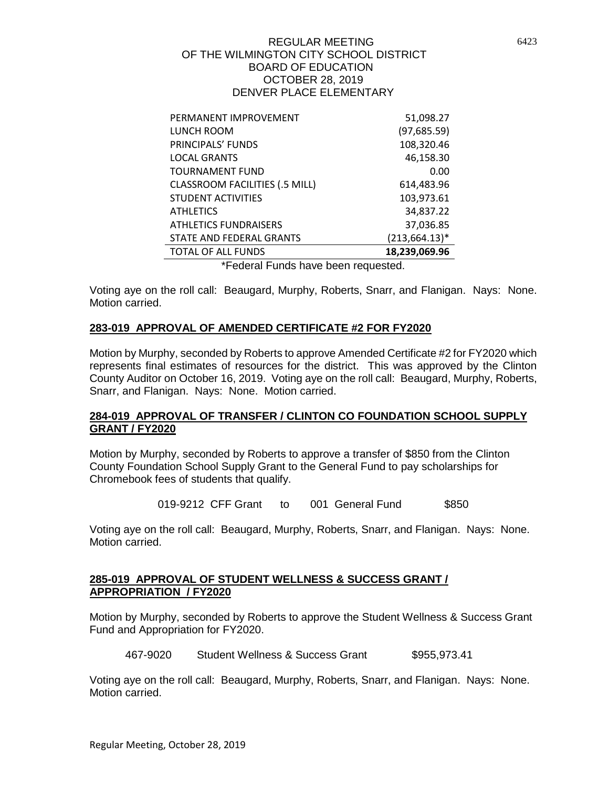| PERMANENT IMPROVEMENT                 | 51,098.27         |
|---------------------------------------|-------------------|
| LUNCH ROOM                            | (97, 685.59)      |
| PRINCIPALS' FUNDS                     | 108,320.46        |
| <b>LOCAL GRANTS</b>                   | 46,158.30         |
| <b>TOURNAMENT FUND</b>                | 0.00              |
| <b>CLASSROOM FACILITIES (.5 MILL)</b> | 614,483.96        |
| <b>STUDENT ACTIVITIES</b>             | 103,973.61        |
| <b>ATHLETICS</b>                      | 34,837.22         |
| <b>ATHLETICS FUNDRAISERS</b>          | 37,036.85         |
| STATE AND FEDERAL GRANTS              | $(213, 664.13)^*$ |
| <b>TOTAL OF ALL FUNDS</b>             | 18,239,069.96     |
| . .                                   |                   |

\*Federal Funds have been requested.

Voting aye on the roll call: Beaugard, Murphy, Roberts, Snarr, and Flanigan. Nays: None. Motion carried.

# **283-019 APPROVAL OF AMENDED CERTIFICATE #2 FOR FY2020**

Motion by Murphy, seconded by Roberts to approve Amended Certificate #2 for FY2020 which represents final estimates of resources for the district. This was approved by the Clinton County Auditor on October 16, 2019. Voting aye on the roll call: Beaugard, Murphy, Roberts, Snarr, and Flanigan. Nays: None. Motion carried.

## **284-019 APPROVAL OF TRANSFER / CLINTON CO FOUNDATION SCHOOL SUPPLY GRANT / FY2020**

Motion by Murphy, seconded by Roberts to approve a transfer of \$850 from the Clinton County Foundation School Supply Grant to the General Fund to pay scholarships for Chromebook fees of students that qualify.

019-9212 CFF Grant to 001 General Fund \$850

Voting aye on the roll call: Beaugard, Murphy, Roberts, Snarr, and Flanigan. Nays: None. Motion carried.

#### **285-019 APPROVAL OF STUDENT WELLNESS & SUCCESS GRANT / APPROPRIATION / FY2020**

Motion by Murphy, seconded by Roberts to approve the Student Wellness & Success Grant Fund and Appropriation for FY2020.

467-9020 Student Wellness & Success Grant \$955,973.41

Voting aye on the roll call: Beaugard, Murphy, Roberts, Snarr, and Flanigan. Nays: None. Motion carried.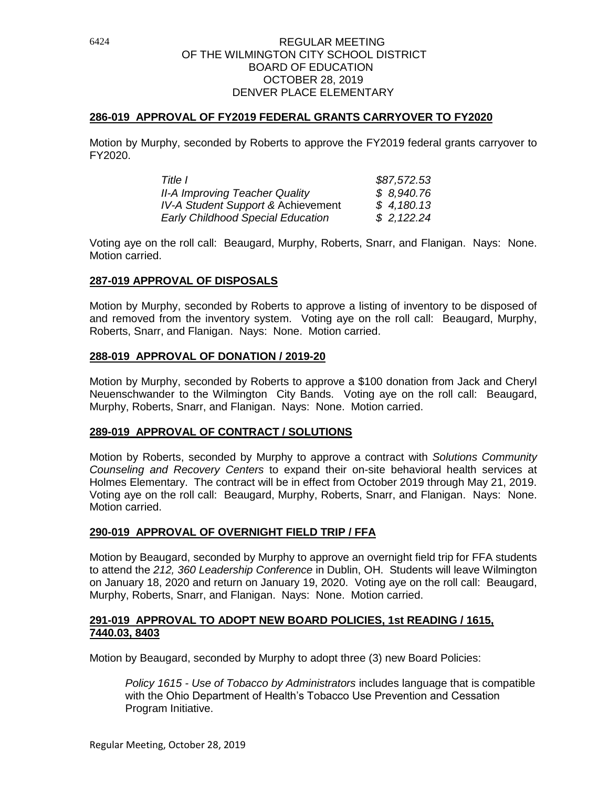### **286-019 APPROVAL OF FY2019 FEDERAL GRANTS CARRYOVER TO FY2020**

Motion by Murphy, seconded by Roberts to approve the FY2019 federal grants carryover to FY2020.

| Title I                                  | \$87,572.53 |
|------------------------------------------|-------------|
| <b>II-A Improving Teacher Quality</b>    | \$8,940.76  |
| IV-A Student Support & Achievement       | \$4,180.13  |
| <b>Early Childhood Special Education</b> | \$2,122.24  |

Voting aye on the roll call: Beaugard, Murphy, Roberts, Snarr, and Flanigan. Nays: None. Motion carried.

### **287-019 APPROVAL OF DISPOSALS**

Motion by Murphy, seconded by Roberts to approve a listing of inventory to be disposed of and removed from the inventory system. Voting aye on the roll call: Beaugard, Murphy, Roberts, Snarr, and Flanigan. Nays: None. Motion carried.

#### **288-019 APPROVAL OF DONATION / 2019-20**

Motion by Murphy, seconded by Roberts to approve a \$100 donation from Jack and Cheryl Neuenschwander to the Wilmington City Bands. Voting aye on the roll call: Beaugard, Murphy, Roberts, Snarr, and Flanigan. Nays: None. Motion carried.

#### **289-019 APPROVAL OF CONTRACT / SOLUTIONS**

Motion by Roberts, seconded by Murphy to approve a contract with *Solutions Community Counseling and Recovery Centers* to expand their on-site behavioral health services at Holmes Elementary. The contract will be in effect from October 2019 through May 21, 2019. Voting aye on the roll call: Beaugard, Murphy, Roberts, Snarr, and Flanigan. Nays: None. Motion carried.

# **290-019 APPROVAL OF OVERNIGHT FIELD TRIP / FFA**

Motion by Beaugard, seconded by Murphy to approve an overnight field trip for FFA students to attend the *212, 360 Leadership Conference* in Dublin, OH. Students will leave Wilmington on January 18, 2020 and return on January 19, 2020. Voting aye on the roll call: Beaugard, Murphy, Roberts, Snarr, and Flanigan. Nays: None. Motion carried.

### **291-019 APPROVAL TO ADOPT NEW BOARD POLICIES, 1st READING / 1615, 7440.03, 8403**

Motion by Beaugard, seconded by Murphy to adopt three (3) new Board Policies:

*Policy 1615 - Use of Tobacco by Administrators* includes language that is compatible with the Ohio Department of Health's Tobacco Use Prevention and Cessation Program Initiative.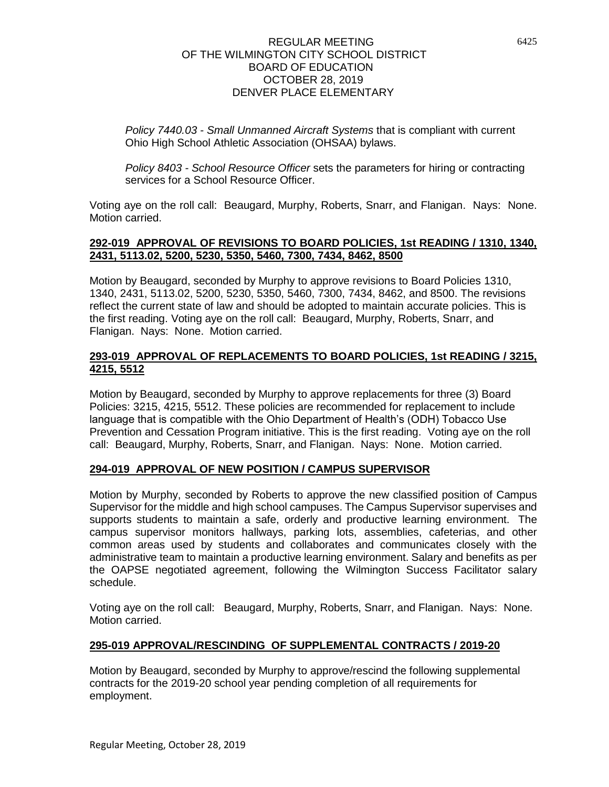*Policy 7440.03 - Small Unmanned Aircraft Systems* that is compliant with current Ohio High School Athletic Association (OHSAA) bylaws.

*Policy 8403 - School Resource Officer* sets the parameters for hiring or contracting services for a School Resource Officer.

Voting aye on the roll call: Beaugard, Murphy, Roberts, Snarr, and Flanigan. Nays: None. Motion carried.

### **292-019 APPROVAL OF REVISIONS TO BOARD POLICIES, 1st READING / 1310, 1340, 2431, 5113.02, 5200, 5230, 5350, 5460, 7300, 7434, 8462, 8500**

Motion by Beaugard, seconded by Murphy to approve revisions to Board Policies 1310, 1340, 2431, 5113.02, 5200, 5230, 5350, 5460, 7300, 7434, 8462, and 8500. The revisions reflect the current state of law and should be adopted to maintain accurate policies. This is the first reading. Voting aye on the roll call: Beaugard, Murphy, Roberts, Snarr, and Flanigan. Nays: None. Motion carried.

# **293-019 APPROVAL OF REPLACEMENTS TO BOARD POLICIES, 1st READING / 3215, 4215, 5512**

Motion by Beaugard, seconded by Murphy to approve replacements for three (3) Board Policies: 3215, 4215, 5512. These policies are recommended for replacement to include language that is compatible with the Ohio Department of Health's (ODH) Tobacco Use Prevention and Cessation Program initiative. This is the first reading. Voting aye on the roll call: Beaugard, Murphy, Roberts, Snarr, and Flanigan. Nays: None. Motion carried.

# **294-019 APPROVAL OF NEW POSITION / CAMPUS SUPERVISOR**

Motion by Murphy, seconded by Roberts to approve the new classified position of Campus Supervisor for the middle and high school campuses. The Campus Supervisor supervises and supports students to maintain a safe, orderly and productive learning environment. The campus supervisor monitors hallways, parking lots, assemblies, cafeterias, and other common areas used by students and collaborates and communicates closely with the administrative team to maintain a productive learning environment. Salary and benefits as per the OAPSE negotiated agreement, following the Wilmington Success Facilitator salary schedule.

Voting aye on the roll call: Beaugard, Murphy, Roberts, Snarr, and Flanigan. Nays: None. Motion carried.

# **295-019 APPROVAL/RESCINDING OF SUPPLEMENTAL CONTRACTS / 2019-20**

Motion by Beaugard, seconded by Murphy to approve/rescind the following supplemental contracts for the 2019-20 school year pending completion of all requirements for employment.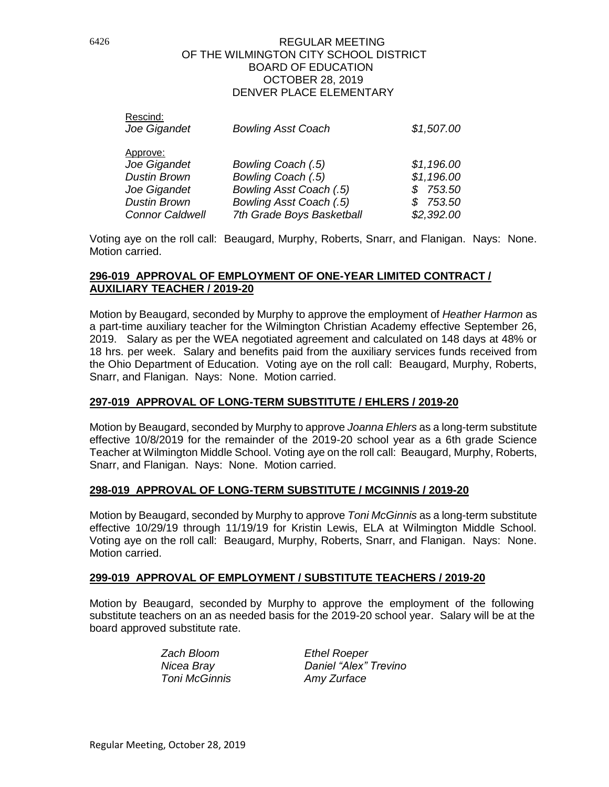| <b>Bowling Asst Coach</b> | \$1,507.00 |
|---------------------------|------------|
|                           |            |
|                           |            |
| Bowling Coach (.5)        | \$1,196.00 |
| Bowling Coach (.5)        | \$1,196.00 |
| Bowling Asst Coach (.5)   | \$753.50   |
| Bowling Asst Coach (.5)   | \$753.50   |
| 7th Grade Boys Basketball | \$2,392.00 |
|                           |            |

Voting aye on the roll call: Beaugard, Murphy, Roberts, Snarr, and Flanigan. Nays: None. Motion carried.

## **296-019 APPROVAL OF EMPLOYMENT OF ONE-YEAR LIMITED CONTRACT / AUXILIARY TEACHER / 2019-20**

Motion by Beaugard, seconded by Murphy to approve the employment of *Heather Harmon* as a part-time auxiliary teacher for the Wilmington Christian Academy effective September 26, 2019. Salary as per the WEA negotiated agreement and calculated on 148 days at 48% or 18 hrs. per week. Salary and benefits paid from the auxiliary services funds received from the Ohio Department of Education. Voting aye on the roll call: Beaugard, Murphy, Roberts, Snarr, and Flanigan. Nays: None. Motion carried.

# **297-019 APPROVAL OF LONG-TERM SUBSTITUTE / EHLERS / 2019-20**

Motion by Beaugard, seconded by Murphy to approve *Joanna Ehlers* as a long-term substitute effective 10/8/2019 for the remainder of the 2019-20 school year as a 6th grade Science Teacher at Wilmington Middle School. Voting aye on the roll call: Beaugard, Murphy, Roberts, Snarr, and Flanigan. Nays: None. Motion carried.

# **298-019 APPROVAL OF LONG-TERM SUBSTITUTE / MCGINNIS / 2019-20**

Motion by Beaugard, seconded by Murphy to approve *Toni McGinnis* as a long-term substitute effective 10/29/19 through 11/19/19 for Kristin Lewis, ELA at Wilmington Middle School. Voting aye on the roll call: Beaugard, Murphy, Roberts, Snarr, and Flanigan. Nays: None. Motion carried.

# **299-019 APPROVAL OF EMPLOYMENT / SUBSTITUTE TEACHERS / 2019-20**

Motion by Beaugard, seconded by Murphy to approve the employment of the following substitute teachers on an as needed basis for the 2019-20 school year. Salary will be at the board approved substitute rate.

> *Zach Bloom Ethel Roeper Toni McGinnis Amy Zurface*

*Nicea Bray Daniel "Alex" Trevino*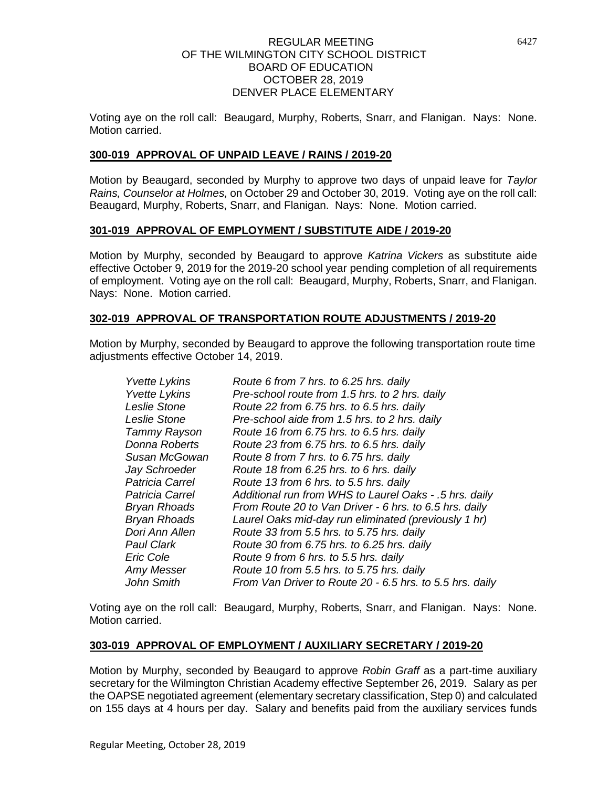Voting aye on the roll call: Beaugard, Murphy, Roberts, Snarr, and Flanigan. Nays: None. Motion carried.

## **300-019 APPROVAL OF UNPAID LEAVE / RAINS / 2019-20**

Motion by Beaugard, seconded by Murphy to approve two days of unpaid leave for *Taylor Rains, Counselor at Holmes,* on October 29 and October 30, 2019. Voting aye on the roll call: Beaugard, Murphy, Roberts, Snarr, and Flanigan. Nays: None. Motion carried.

### **301-019 APPROVAL OF EMPLOYMENT / SUBSTITUTE AIDE / 2019-20**

Motion by Murphy, seconded by Beaugard to approve *Katrina Vickers* as substitute aide effective October 9, 2019 for the 2019-20 school year pending completion of all requirements of employment. Voting aye on the roll call: Beaugard, Murphy, Roberts, Snarr, and Flanigan. Nays: None. Motion carried.

### **302-019 APPROVAL OF TRANSPORTATION ROUTE ADJUSTMENTS / 2019-20**

Motion by Murphy, seconded by Beaugard to approve the following transportation route time adiustments effective October 14, 2019.

| <b>Yvette Lykins</b> | Route 6 from 7 hrs. to 6.25 hrs. daily                   |
|----------------------|----------------------------------------------------------|
| <b>Yvette Lykins</b> | Pre-school route from 1.5 hrs. to 2 hrs. daily           |
| Leslie Stone         | Route 22 from 6.75 hrs. to 6.5 hrs. daily                |
| Leslie Stone         | Pre-school aide from 1.5 hrs. to 2 hrs. daily            |
| Tammy Rayson         | Route 16 from 6.75 hrs. to 6.5 hrs. daily                |
| Donna Roberts        | Route 23 from 6.75 hrs. to 6.5 hrs. daily                |
| Susan McGowan        | Route 8 from 7 hrs. to 6.75 hrs. daily                   |
| Jay Schroeder        | Route 18 from 6.25 hrs. to 6 hrs. daily                  |
| Patricia Carrel      | Route 13 from 6 hrs. to 5.5 hrs. daily                   |
| Patricia Carrel      | Additional run from WHS to Laurel Oaks - .5 hrs. daily   |
| Bryan Rhoads         | From Route 20 to Van Driver - 6 hrs. to 6.5 hrs. daily   |
| Bryan Rhoads         | Laurel Oaks mid-day run eliminated (previously 1 hr)     |
| Dori Ann Allen       | Route 33 from 5.5 hrs. to 5.75 hrs. daily                |
| <b>Paul Clark</b>    | Route 30 from 6.75 hrs. to 6.25 hrs. daily               |
| Eric Cole            | Route 9 from 6 hrs. to 5.5 hrs. daily                    |
| Amy Messer           | Route 10 from 5.5 hrs. to 5.75 hrs. daily                |
| John Smith           | From Van Driver to Route 20 - 6.5 hrs. to 5.5 hrs. daily |

Voting aye on the roll call: Beaugard, Murphy, Roberts, Snarr, and Flanigan. Nays: None. Motion carried.

#### **303-019 APPROVAL OF EMPLOYMENT / AUXILIARY SECRETARY / 2019-20**

Motion by Murphy, seconded by Beaugard to approve *Robin Graff* as a part-time auxiliary secretary for the Wilmington Christian Academy effective September 26, 2019. Salary as per the OAPSE negotiated agreement (elementary secretary classification, Step 0) and calculated on 155 days at 4 hours per day. Salary and benefits paid from the auxiliary services funds